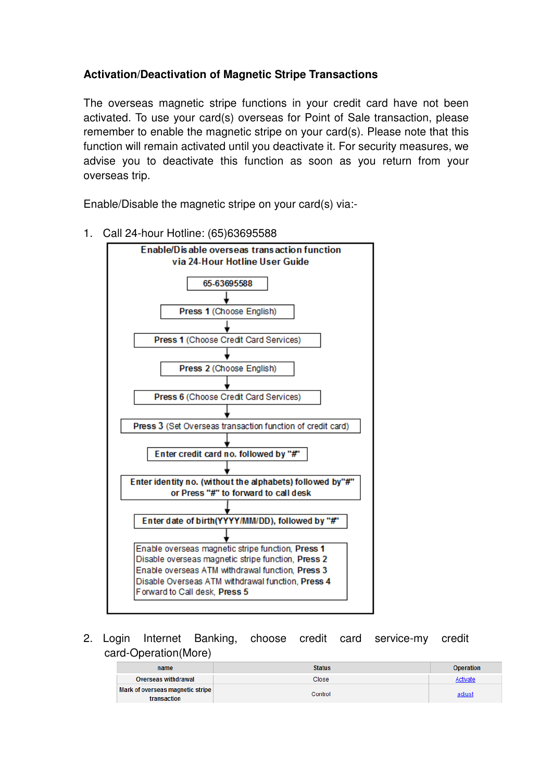# **Activation/Deactivation of Magnetic Stripe Transactions**

The overseas magnetic stripe functions in your credit card have not been activated. To use your card(s) overseas for Point of Sale transaction, please remember to enable the magnetic stripe on your card(s). Please note that this function will remain activated until you deactivate it. For security measures, we advise you to deactivate this function as soon as you return from your overseas trip.

Enable/Disable the magnetic stripe on your card(s) via:-



1. Call 24-hour Hotline: (65)63695588

2. Login Internet Banking, choose credit card service-my credit card-Operation(More)

| name                                            | <b>Status</b> | <b>Operation</b> |
|-------------------------------------------------|---------------|------------------|
| Overseas withdrawal                             | Close         | Activate         |
| Mark of overseas magnetic stripe<br>transaction | Control       | adjust           |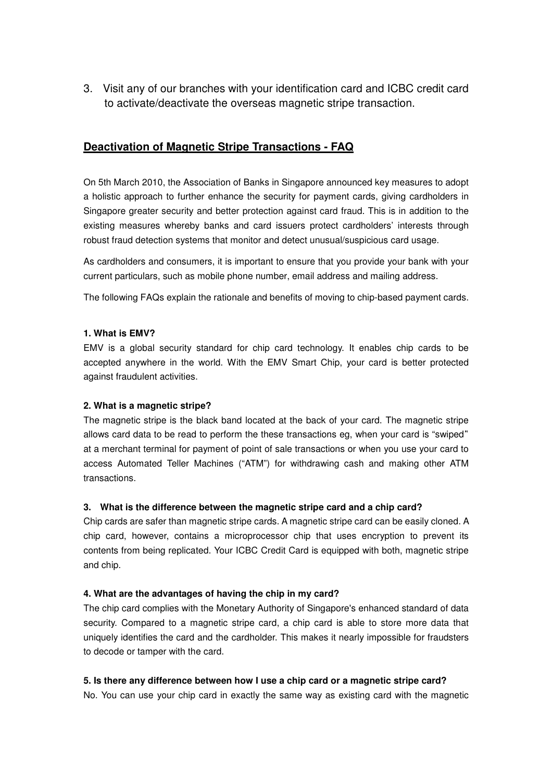3. Visit any of our branches with your identification card and ICBC credit card to activate/deactivate the overseas magnetic stripe transaction.

## **Deactivation of Magnetic Stripe Transactions - FAQ**

On 5th March 2010, the Association of Banks in Singapore announced key measures to adopt a holistic approach to further enhance the security for payment cards, giving cardholders in Singapore greater security and better protection against card fraud. This is in addition to the existing measures whereby banks and card issuers protect cardholders' interests through robust fraud detection systems that monitor and detect unusual/suspicious card usage.

As cardholders and consumers, it is important to ensure that you provide your bank with your current particulars, such as mobile phone number, email address and mailing address.

The following FAQs explain the rationale and benefits of moving to chip-based payment cards.

#### **1. What is EMV?**

EMV is a global security standard for chip card technology. It enables chip cards to be accepted anywhere in the world. With the EMV Smart Chip, your card is better protected against fraudulent activities.

#### **2. What is a magnetic stripe?**

The magnetic stripe is the black band located at the back of your card. The magnetic stripe allows card data to be read to perform the these transactions eg, when your card is "swiped" at a merchant terminal for payment of point of sale transactions or when you use your card to access Automated Teller Machines ("ATM") for withdrawing cash and making other ATM transactions.

#### **3. What is the difference between the magnetic stripe card and a chip card?**

Chip cards are safer than magnetic stripe cards. A magnetic stripe card can be easily cloned. A chip card, however, contains a microprocessor chip that uses encryption to prevent its contents from being replicated. Your ICBC Credit Card is equipped with both, magnetic stripe and chip.

#### **4. What are the advantages of having the chip in my card?**

The chip card complies with the Monetary Authority of Singapore's enhanced standard of data security. Compared to a magnetic stripe card, a chip card is able to store more data that uniquely identifies the card and the cardholder. This makes it nearly impossible for fraudsters to decode or tamper with the card.

#### **5. Is there any difference between how I use a chip card or a magnetic stripe card?**

No. You can use your chip card in exactly the same way as existing card with the magnetic